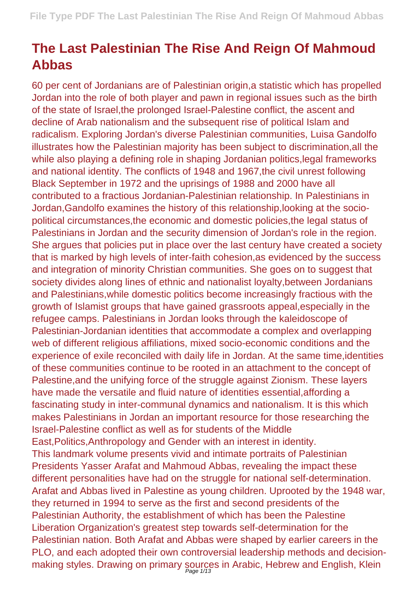## **The Last Palestinian The Rise And Reign Of Mahmoud Abbas**

60 per cent of Jordanians are of Palestinian origin,a statistic which has propelled Jordan into the role of both player and pawn in regional issues such as the birth of the state of Israel,the prolonged Israel-Palestine conflict, the ascent and decline of Arab nationalism and the subsequent rise of political Islam and radicalism. Exploring Jordan's diverse Palestinian communities, Luisa Gandolfo illustrates how the Palestinian majority has been subject to discrimination,all the while also playing a defining role in shaping Jordanian politics,legal frameworks and national identity. The conflicts of 1948 and 1967,the civil unrest following Black September in 1972 and the uprisings of 1988 and 2000 have all contributed to a fractious Jordanian-Palestinian relationship. In Palestinians in Jordan,Gandolfo examines the history of this relationship,looking at the sociopolitical circumstances,the economic and domestic policies,the legal status of Palestinians in Jordan and the security dimension of Jordan's role in the region. She argues that policies put in place over the last century have created a society that is marked by high levels of inter-faith cohesion,as evidenced by the success and integration of minority Christian communities. She goes on to suggest that society divides along lines of ethnic and nationalist loyalty,between Jordanians and Palestinians,while domestic politics become increasingly fractious with the growth of Islamist groups that have gained grassroots appeal,especially in the refugee camps. Palestinians in Jordan looks through the kaleidoscope of Palestinian-Jordanian identities that accommodate a complex and overlapping web of different religious affiliations, mixed socio-economic conditions and the experience of exile reconciled with daily life in Jordan. At the same time,identities of these communities continue to be rooted in an attachment to the concept of Palestine,and the unifying force of the struggle against Zionism. These layers have made the versatile and fluid nature of identities essential,affording a fascinating study in inter-communal dynamics and nationalism. It is this which makes Palestinians in Jordan an important resource for those researching the Israel-Palestine conflict as well as for students of the Middle East,Politics,Anthropology and Gender with an interest in identity. This landmark volume presents vivid and intimate portraits of Palestinian Presidents Yasser Arafat and Mahmoud Abbas, revealing the impact these different personalities have had on the struggle for national self-determination. Arafat and Abbas lived in Palestine as young children. Uprooted by the 1948 war, they returned in 1994 to serve as the first and second presidents of the Palestinian Authority, the establishment of which has been the Palestine Liberation Organization's greatest step towards self-determination for the Palestinian nation. Both Arafat and Abbas were shaped by earlier careers in the PLO, and each adopted their own controversial leadership methods and decisionmaking styles. Drawing on primary sources in Arabic, Hebrew and English, Klein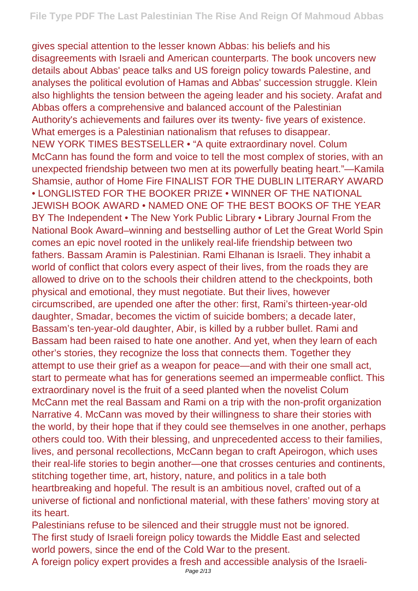gives special attention to the lesser known Abbas: his beliefs and his disagreements with Israeli and American counterparts. The book uncovers new details about Abbas' peace talks and US foreign policy towards Palestine, and analyses the political evolution of Hamas and Abbas' succession struggle. Klein also highlights the tension between the ageing leader and his society. Arafat and Abbas offers a comprehensive and balanced account of the Palestinian Authority's achievements and failures over its twenty- five years of existence. What emerges is a Palestinian nationalism that refuses to disappear. NEW YORK TIMES BESTSELLER • "A quite extraordinary novel. Colum McCann has found the form and voice to tell the most complex of stories, with an unexpected friendship between two men at its powerfully beating heart."—Kamila Shamsie, author of Home Fire FINALIST FOR THE DUBLIN LITERARY AWARD • LONGLISTED FOR THE BOOKER PRIZE • WINNER OF THE NATIONAL JEWISH BOOK AWARD • NAMED ONE OF THE BEST BOOKS OF THE YEAR BY The Independent • The New York Public Library • Library Journal From the National Book Award–winning and bestselling author of Let the Great World Spin comes an epic novel rooted in the unlikely real-life friendship between two fathers. Bassam Aramin is Palestinian. Rami Elhanan is Israeli. They inhabit a world of conflict that colors every aspect of their lives, from the roads they are allowed to drive on to the schools their children attend to the checkpoints, both physical and emotional, they must negotiate. But their lives, however circumscribed, are upended one after the other: first, Rami's thirteen-year-old daughter, Smadar, becomes the victim of suicide bombers; a decade later, Bassam's ten-year-old daughter, Abir, is killed by a rubber bullet. Rami and Bassam had been raised to hate one another. And yet, when they learn of each other's stories, they recognize the loss that connects them. Together they attempt to use their grief as a weapon for peace—and with their one small act, start to permeate what has for generations seemed an impermeable conflict. This extraordinary novel is the fruit of a seed planted when the novelist Colum McCann met the real Bassam and Rami on a trip with the non-profit organization Narrative 4. McCann was moved by their willingness to share their stories with the world, by their hope that if they could see themselves in one another, perhaps others could too. With their blessing, and unprecedented access to their families, lives, and personal recollections, McCann began to craft Apeirogon, which uses their real-life stories to begin another—one that crosses centuries and continents, stitching together time, art, history, nature, and politics in a tale both heartbreaking and hopeful. The result is an ambitious novel, crafted out of a universe of fictional and nonfictional material, with these fathers' moving story at its heart.

Palestinians refuse to be silenced and their struggle must not be ignored. The first study of Israeli foreign policy towards the Middle East and selected world powers, since the end of the Cold War to the present.

A foreign policy expert provides a fresh and accessible analysis of the Israeli-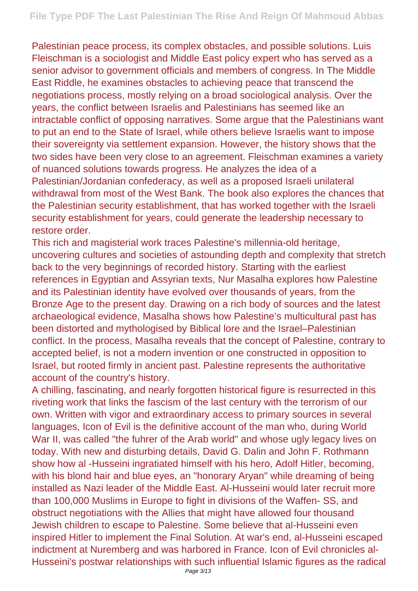Palestinian peace process, its complex obstacles, and possible solutions. Luis Fleischman is a sociologist and Middle East policy expert who has served as a senior advisor to government officials and members of congress. In The Middle East Riddle, he examines obstacles to achieving peace that transcend the negotiations process, mostly relying on a broad sociological analysis. Over the years, the conflict between Israelis and Palestinians has seemed like an intractable conflict of opposing narratives. Some argue that the Palestinians want to put an end to the State of Israel, while others believe Israelis want to impose their sovereignty via settlement expansion. However, the history shows that the two sides have been very close to an agreement. Fleischman examines a variety of nuanced solutions towards progress. He analyzes the idea of a Palestinian/Jordanian confederacy, as well as a proposed Israeli unilateral withdrawal from most of the West Bank. The book also explores the chances that the Palestinian security establishment, that has worked together with the Israeli security establishment for years, could generate the leadership necessary to restore order.

This rich and magisterial work traces Palestine's millennia-old heritage, uncovering cultures and societies of astounding depth and complexity that stretch back to the very beginnings of recorded history. Starting with the earliest references in Egyptian and Assyrian texts, Nur Masalha explores how Palestine and its Palestinian identity have evolved over thousands of years, from the Bronze Age to the present day. Drawing on a rich body of sources and the latest archaeological evidence, Masalha shows how Palestine's multicultural past has been distorted and mythologised by Biblical lore and the Israel–Palestinian conflict. In the process, Masalha reveals that the concept of Palestine, contrary to accepted belief, is not a modern invention or one constructed in opposition to Israel, but rooted firmly in ancient past. Palestine represents the authoritative account of the country's history.

A chilling, fascinating, and nearly forgotten historical figure is resurrected in this riveting work that links the fascism of the last century with the terrorism of our own. Written with vigor and extraordinary access to primary sources in several languages, Icon of Evil is the definitive account of the man who, during World War II, was called "the fuhrer of the Arab world" and whose ugly legacy lives on today. With new and disturbing details, David G. Dalin and John F. Rothmann show how al -Husseini ingratiated himself with his hero, Adolf Hitler, becoming, with his blond hair and blue eyes, an "honorary Aryan" while dreaming of being installed as Nazi leader of the Middle East. Al-Husseini would later recruit more than 100,000 Muslims in Europe to fight in divisions of the Waffen- SS, and obstruct negotiations with the Allies that might have allowed four thousand Jewish children to escape to Palestine. Some believe that al-Husseini even inspired Hitler to implement the Final Solution. At war's end, al-Husseini escaped indictment at Nuremberg and was harbored in France. Icon of Evil chronicles al-Husseini's postwar relationships with such influential Islamic figures as the radical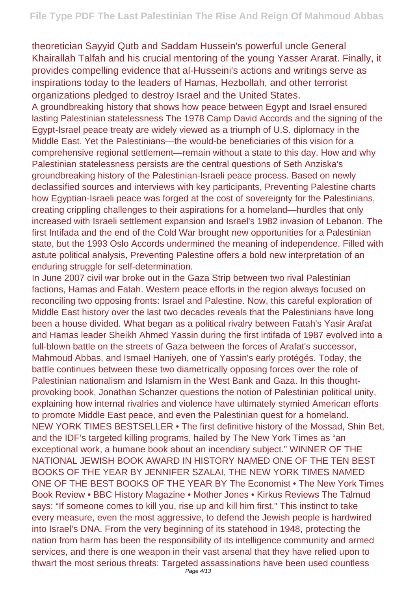theoretician Sayyid Qutb and Saddam Hussein's powerful uncle General Khairallah Talfah and his crucial mentoring of the young Yasser Ararat. Finally, it provides compelling evidence that al-Husseini's actions and writings serve as inspirations today to the leaders of Hamas, Hezbollah, and other terrorist organizations pledged to destroy Israel and the United States.

A groundbreaking history that shows how peace between Egypt and Israel ensured lasting Palestinian statelessness The 1978 Camp David Accords and the signing of the Egypt-Israel peace treaty are widely viewed as a triumph of U.S. diplomacy in the Middle East. Yet the Palestinians—the would-be beneficiaries of this vision for a comprehensive regional settlement—remain without a state to this day. How and why Palestinian statelessness persists are the central questions of Seth Anziska's groundbreaking history of the Palestinian-Israeli peace process. Based on newly declassified sources and interviews with key participants, Preventing Palestine charts how Egyptian-Israeli peace was forged at the cost of sovereignty for the Palestinians, creating crippling challenges to their aspirations for a homeland—hurdles that only increased with Israeli settlement expansion and Israel's 1982 invasion of Lebanon. The first Intifada and the end of the Cold War brought new opportunities for a Palestinian state, but the 1993 Oslo Accords undermined the meaning of independence. Filled with astute political analysis, Preventing Palestine offers a bold new interpretation of an enduring struggle for self-determination.

In June 2007 civil war broke out in the Gaza Strip between two rival Palestinian factions, Hamas and Fatah. Western peace efforts in the region always focused on reconciling two opposing fronts: Israel and Palestine. Now, this careful exploration of Middle East history over the last two decades reveals that the Palestinians have long been a house divided. What began as a political rivalry between Fatah's Yasir Arafat and Hamas leader Sheikh Ahmed Yassin during the first intifada of 1987 evolved into a full-blown battle on the streets of Gaza between the forces of Arafat's successor, Mahmoud Abbas, and Ismael Haniyeh, one of Yassin's early protégés. Today, the battle continues between these two diametrically opposing forces over the role of Palestinian nationalism and Islamism in the West Bank and Gaza. In this thoughtprovoking book, Jonathan Schanzer questions the notion of Palestinian political unity, explaining how internal rivalries and violence have ultimately stymied American efforts to promote Middle East peace, and even the Palestinian quest for a homeland. NEW YORK TIMES BESTSELLER • The first definitive history of the Mossad, Shin Bet, and the IDF's targeted killing programs, hailed by The New York Times as "an exceptional work, a humane book about an incendiary subject." WINNER OF THE NATIONAL JEWISH BOOK AWARD IN HISTORY NAMED ONE OF THE TEN BEST BOOKS OF THE YEAR BY JENNIFER SZALAI, THE NEW YORK TIMES NAMED ONE OF THE BEST BOOKS OF THE YEAR BY The Economist • The New York Times Book Review • BBC History Magazine • Mother Jones • Kirkus Reviews The Talmud says: "If someone comes to kill you, rise up and kill him first." This instinct to take every measure, even the most aggressive, to defend the Jewish people is hardwired into Israel's DNA. From the very beginning of its statehood in 1948, protecting the nation from harm has been the responsibility of its intelligence community and armed services, and there is one weapon in their vast arsenal that they have relied upon to thwart the most serious threats: Targeted assassinations have been used countless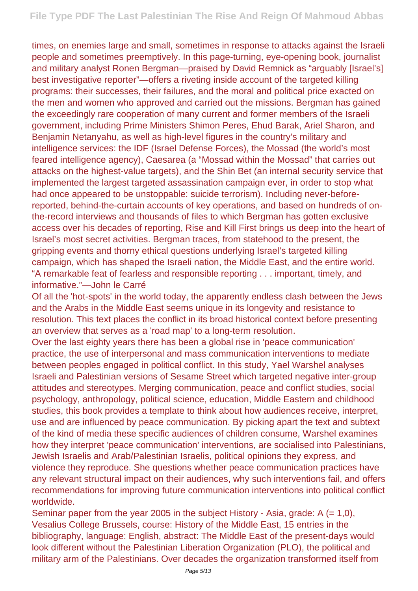times, on enemies large and small, sometimes in response to attacks against the Israeli people and sometimes preemptively. In this page-turning, eye-opening book, journalist and military analyst Ronen Bergman—praised by David Remnick as "arguably [Israel's] best investigative reporter"—offers a riveting inside account of the targeted killing programs: their successes, their failures, and the moral and political price exacted on the men and women who approved and carried out the missions. Bergman has gained the exceedingly rare cooperation of many current and former members of the Israeli government, including Prime Ministers Shimon Peres, Ehud Barak, Ariel Sharon, and Benjamin Netanyahu, as well as high-level figures in the country's military and intelligence services: the IDF (Israel Defense Forces), the Mossad (the world's most feared intelligence agency), Caesarea (a "Mossad within the Mossad" that carries out attacks on the highest-value targets), and the Shin Bet (an internal security service that implemented the largest targeted assassination campaign ever, in order to stop what had once appeared to be unstoppable: suicide terrorism). Including never-beforereported, behind-the-curtain accounts of key operations, and based on hundreds of onthe-record interviews and thousands of files to which Bergman has gotten exclusive access over his decades of reporting, Rise and Kill First brings us deep into the heart of Israel's most secret activities. Bergman traces, from statehood to the present, the gripping events and thorny ethical questions underlying Israel's targeted killing campaign, which has shaped the Israeli nation, the Middle East, and the entire world. "A remarkable feat of fearless and responsible reporting . . . important, timely, and informative."—John le Carré

Of all the 'hot-spots' in the world today, the apparently endless clash between the Jews and the Arabs in the Middle East seems unique in its longevity and resistance to resolution. This text places the conflict in its broad historical context before presenting an overview that serves as a 'road map' to a long-term resolution.

Over the last eighty years there has been a global rise in 'peace communication' practice, the use of interpersonal and mass communication interventions to mediate between peoples engaged in political conflict. In this study, Yael Warshel analyses Israeli and Palestinian versions of Sesame Street which targeted negative inter-group attitudes and stereotypes. Merging communication, peace and conflict studies, social psychology, anthropology, political science, education, Middle Eastern and childhood studies, this book provides a template to think about how audiences receive, interpret, use and are influenced by peace communication. By picking apart the text and subtext of the kind of media these specific audiences of children consume, Warshel examines how they interpret 'peace communication' interventions, are socialised into Palestinians, Jewish Israelis and Arab/Palestinian Israelis, political opinions they express, and violence they reproduce. She questions whether peace communication practices have any relevant structural impact on their audiences, why such interventions fail, and offers recommendations for improving future communication interventions into political conflict worldwide.

Seminar paper from the year 2005 in the subject History - Asia, grade:  $A (= 1,0)$ , Vesalius College Brussels, course: History of the Middle East, 15 entries in the bibliography, language: English, abstract: The Middle East of the present-days would look different without the Palestinian Liberation Organization (PLO), the political and military arm of the Palestinians. Over decades the organization transformed itself from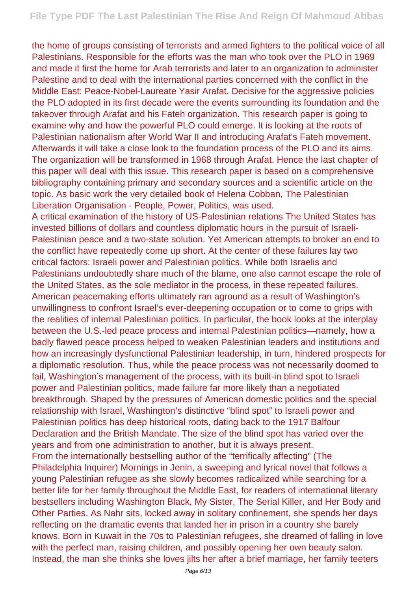the home of groups consisting of terrorists and armed fighters to the political voice of all Palestinians. Responsible for the efforts was the man who took over the PLO in 1969 and made it first the home for Arab terrorists and later to an organization to administer Palestine and to deal with the international parties concerned with the conflict in the Middle East: Peace-Nobel-Laureate Yasir Arafat. Decisive for the aggressive policies the PLO adopted in its first decade were the events surrounding its foundation and the takeover through Arafat and his Fateh organization. This research paper is going to examine why and how the powerful PLO could emerge. It is looking at the roots of Palestinian nationalism after World War II and introducing Arafat's Fateh movement. Afterwards it will take a close look to the foundation process of the PLO and its aims. The organization will be transformed in 1968 through Arafat. Hence the last chapter of this paper will deal with this issue. This research paper is based on a comprehensive bibliography containing primary and secondary sources and a scientific article on the topic. As basic work the very detailed book of Helena Cobban, The Palestinian Liberation Organisation - People, Power, Politics, was used.

A critical examination of the history of US-Palestinian relations The United States has invested billions of dollars and countless diplomatic hours in the pursuit of Israeli-Palestinian peace and a two-state solution. Yet American attempts to broker an end to the conflict have repeatedly come up short. At the center of these failures lay two critical factors: Israeli power and Palestinian politics. While both Israelis and Palestinians undoubtedly share much of the blame, one also cannot escape the role of the United States, as the sole mediator in the process, in these repeated failures. American peacemaking efforts ultimately ran aground as a result of Washington's unwillingness to confront Israel's ever-deepening occupation or to come to grips with the realities of internal Palestinian politics. In particular, the book looks at the interplay between the U.S.-led peace process and internal Palestinian politics—namely, how a badly flawed peace process helped to weaken Palestinian leaders and institutions and how an increasingly dysfunctional Palestinian leadership, in turn, hindered prospects for a diplomatic resolution. Thus, while the peace process was not necessarily doomed to fail, Washington's management of the process, with its built-in blind spot to Israeli power and Palestinian politics, made failure far more likely than a negotiated breakthrough. Shaped by the pressures of American domestic politics and the special relationship with Israel, Washington's distinctive "blind spot" to Israeli power and Palestinian politics has deep historical roots, dating back to the 1917 Balfour Declaration and the British Mandate. The size of the blind spot has varied over the years and from one administration to another, but it is always present. From the internationally bestselling author of the "terrifically affecting" (The Philadelphia Inquirer) Mornings in Jenin, a sweeping and lyrical novel that follows a young Palestinian refugee as she slowly becomes radicalized while searching for a better life for her family throughout the Middle East, for readers of international literary bestsellers including Washington Black, My Sister, The Serial Killer, and Her Body and Other Parties. As Nahr sits, locked away in solitary confinement, she spends her days reflecting on the dramatic events that landed her in prison in a country she barely knows. Born in Kuwait in the 70s to Palestinian refugees, she dreamed of falling in love with the perfect man, raising children, and possibly opening her own beauty salon. Instead, the man she thinks she loves jilts her after a brief marriage, her family teeters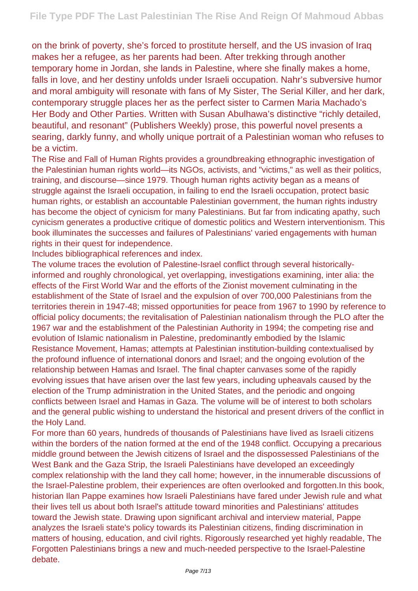on the brink of poverty, she's forced to prostitute herself, and the US invasion of Iraq makes her a refugee, as her parents had been. After trekking through another temporary home in Jordan, she lands in Palestine, where she finally makes a home, falls in love, and her destiny unfolds under Israeli occupation. Nahr's subversive humor and moral ambiguity will resonate with fans of My Sister, The Serial Killer, and her dark, contemporary struggle places her as the perfect sister to Carmen Maria Machado's Her Body and Other Parties. Written with Susan Abulhawa's distinctive "richly detailed, beautiful, and resonant" (Publishers Weekly) prose, this powerful novel presents a searing, darkly funny, and wholly unique portrait of a Palestinian woman who refuses to be a victim.

The Rise and Fall of Human Rights provides a groundbreaking ethnographic investigation of the Palestinian human rights world—its NGOs, activists, and "victims," as well as their politics, training, and discourse—since 1979. Though human rights activity began as a means of struggle against the Israeli occupation, in failing to end the Israeli occupation, protect basic human rights, or establish an accountable Palestinian government, the human rights industry has become the object of cynicism for many Palestinians. But far from indicating apathy, such cynicism generates a productive critique of domestic politics and Western interventionism. This book illuminates the successes and failures of Palestinians' varied engagements with human rights in their quest for independence.

Includes bibliographical references and index.

The volume traces the evolution of Palestine-Israel conflict through several historicallyinformed and roughly chronological, yet overlapping, investigations examining, inter alia: the effects of the First World War and the efforts of the Zionist movement culminating in the establishment of the State of Israel and the expulsion of over 700,000 Palestinians from the territories therein in 1947-48; missed opportunities for peace from 1967 to 1990 by reference to official policy documents; the revitalisation of Palestinian nationalism through the PLO after the 1967 war and the establishment of the Palestinian Authority in 1994; the competing rise and evolution of Islamic nationalism in Palestine, predominantly embodied by the Islamic Resistance Movement, Hamas; attempts at Palestinian institution-building contextualised by the profound influence of international donors and Israel; and the ongoing evolution of the relationship between Hamas and Israel. The final chapter canvases some of the rapidly evolving issues that have arisen over the last few years, including upheavals caused by the election of the Trump administration in the United States, and the periodic and ongoing conflicts between Israel and Hamas in Gaza. The volume will be of interest to both scholars and the general public wishing to understand the historical and present drivers of the conflict in the Holy Land.

For more than 60 years, hundreds of thousands of Palestinians have lived as Israeli citizens within the borders of the nation formed at the end of the 1948 conflict. Occupying a precarious middle ground between the Jewish citizens of Israel and the dispossessed Palestinians of the West Bank and the Gaza Strip, the Israeli Palestinians have developed an exceedingly complex relationship with the land they call home; however, in the innumerable discussions of the Israel-Palestine problem, their experiences are often overlooked and forgotten.In this book, historian Ilan Pappe examines how Israeli Palestinians have fared under Jewish rule and what their lives tell us about both Israel's attitude toward minorities and Palestinians' attitudes toward the Jewish state. Drawing upon significant archival and interview material, Pappe analyzes the Israeli state's policy towards its Palestinian citizens, finding discrimination in matters of housing, education, and civil rights. Rigorously researched yet highly readable, The Forgotten Palestinians brings a new and much-needed perspective to the Israel-Palestine debate.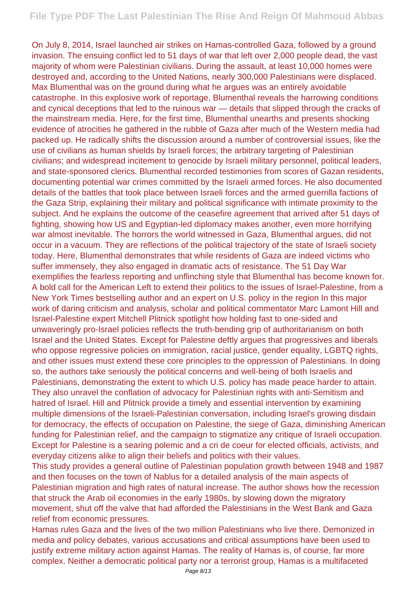On July 8, 2014, Israel launched air strikes on Hamas-controlled Gaza, followed by a ground invasion. The ensuing conflict led to 51 days of war that left over 2,000 people dead, the vast majority of whom were Palestinian civilians. During the assault, at least 10,000 homes were destroyed and, according to the United Nations, nearly 300,000 Palestinians were displaced. Max Blumenthal was on the ground during what he argues was an entirely avoidable catastrophe. In this explosive work of reportage, Blumenthal reveals the harrowing conditions and cynical deceptions that led to the ruinous war — details that slipped through the cracks of the mainstream media. Here, for the first time, Blumenthal unearths and presents shocking evidence of atrocities he gathered in the rubble of Gaza after much of the Western media had packed up. He radically shifts the discussion around a number of controversial issues, like the use of civilians as human shields by Israeli forces; the arbitrary targeting of Palestinian civilians; and widespread incitement to genocide by Israeli military personnel, political leaders, and state-sponsored clerics. Blumenthal recorded testimonies from scores of Gazan residents, documenting potential war crimes committed by the Israeli armed forces. He also documented details of the battles that took place between Israeli forces and the armed guerrilla factions of the Gaza Strip, explaining their military and political significance with intimate proximity to the subject. And he explains the outcome of the ceasefire agreement that arrived after 51 days of fighting, showing how US and Egyptian-led diplomacy makes another, even more horrifying war almost inevitable. The horrors the world witnessed in Gaza, Blumenthal argues, did not occur in a vacuum. They are reflections of the political trajectory of the state of Israeli society today. Here, Blumenthal demonstrates that while residents of Gaza are indeed victims who suffer immensely, they also engaged in dramatic acts of resistance. The 51 Day War exemplifies the fearless reporting and unflinching style that Blumenthal has become known for. A bold call for the American Left to extend their politics to the issues of Israel-Palestine, from a New York Times bestselling author and an expert on U.S. policy in the region In this major work of daring criticism and analysis, scholar and political commentator Marc Lamont Hill and Israel-Palestine expert Mitchell Plitnick spotlight how holding fast to one-sided and unwaveringly pro-Israel policies reflects the truth-bending grip of authoritarianism on both Israel and the United States. Except for Palestine deftly argues that progressives and liberals who oppose regressive policies on immigration, racial justice, gender equality, LGBTQ rights, and other issues must extend these core principles to the oppression of Palestinians. In doing so, the authors take seriously the political concerns and well-being of both Israelis and Palestinians, demonstrating the extent to which U.S. policy has made peace harder to attain. They also unravel the conflation of advocacy for Palestinian rights with anti-Semitism and hatred of Israel. Hill and Plitnick provide a timely and essential intervention by examining multiple dimensions of the Israeli-Palestinian conversation, including Israel's growing disdain for democracy, the effects of occupation on Palestine, the siege of Gaza, diminishing American funding for Palestinian relief, and the campaign to stigmatize any critique of Israeli occupation. Except for Palestine is a searing polemic and a cri de coeur for elected officials, activists, and everyday citizens alike to align their beliefs and politics with their values.

This study provides a general outline of Palestinian population growth between 1948 and 1987 and then focuses on the town of Nablus for a detailed analysis of the main aspects of Palestinian migration and high rates of natural increase. The author shows how the recession that struck the Arab oil economies in the early 1980s, by slowing down the migratory movement, shut off the valve that had afforded the Palestinians in the West Bank and Gaza relief from economic pressures.

Hamas rules Gaza and the lives of the two million Palestinians who live there. Demonized in media and policy debates, various accusations and critical assumptions have been used to justify extreme military action against Hamas. The reality of Hamas is, of course, far more complex. Neither a democratic political party nor a terrorist group, Hamas is a multifaceted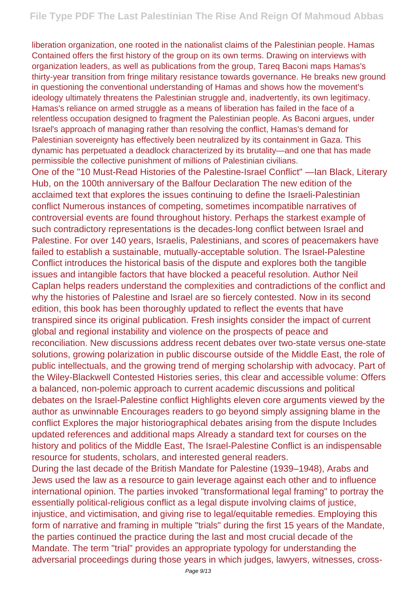liberation organization, one rooted in the nationalist claims of the Palestinian people. Hamas Contained offers the first history of the group on its own terms. Drawing on interviews with organization leaders, as well as publications from the group, Tareq Baconi maps Hamas's thirty-year transition from fringe military resistance towards governance. He breaks new ground in questioning the conventional understanding of Hamas and shows how the movement's ideology ultimately threatens the Palestinian struggle and, inadvertently, its own legitimacy. Hamas's reliance on armed struggle as a means of liberation has failed in the face of a relentless occupation designed to fragment the Palestinian people. As Baconi argues, under Israel's approach of managing rather than resolving the conflict, Hamas's demand for Palestinian sovereignty has effectively been neutralized by its containment in Gaza. This dynamic has perpetuated a deadlock characterized by its brutality—and one that has made permissible the collective punishment of millions of Palestinian civilians.

One of the "10 Must-Read Histories of the Palestine-Israel Conflict" —Ian Black, Literary Hub, on the 100th anniversary of the Balfour Declaration The new edition of the acclaimed text that explores the issues continuing to define the Israeli-Palestinian conflict Numerous instances of competing, sometimes incompatible narratives of controversial events are found throughout history. Perhaps the starkest example of such contradictory representations is the decades-long conflict between Israel and Palestine. For over 140 years, Israelis, Palestinians, and scores of peacemakers have failed to establish a sustainable, mutually-acceptable solution. The Israel-Palestine Conflict introduces the historical basis of the dispute and explores both the tangible issues and intangible factors that have blocked a peaceful resolution. Author Neil Caplan helps readers understand the complexities and contradictions of the conflict and why the histories of Palestine and Israel are so fiercely contested. Now in its second edition, this book has been thoroughly updated to reflect the events that have transpired since its original publication. Fresh insights consider the impact of current global and regional instability and violence on the prospects of peace and reconciliation. New discussions address recent debates over two-state versus one-state solutions, growing polarization in public discourse outside of the Middle East, the role of public intellectuals, and the growing trend of merging scholarship with advocacy. Part of the Wiley-Blackwell Contested Histories series, this clear and accessible volume: Offers a balanced, non-polemic approach to current academic discussions and political debates on the Israel-Palestine conflict Highlights eleven core arguments viewed by the author as unwinnable Encourages readers to go beyond simply assigning blame in the conflict Explores the major historiographical debates arising from the dispute Includes updated references and additional maps Already a standard text for courses on the history and politics of the Middle East, The Israel-Palestine Conflict is an indispensable resource for students, scholars, and interested general readers.

During the last decade of the British Mandate for Palestine (1939–1948), Arabs and Jews used the law as a resource to gain leverage against each other and to influence international opinion. The parties invoked "transformational legal framing" to portray the essentially political-religious conflict as a legal dispute involving claims of justice, injustice, and victimisation, and giving rise to legal/equitable remedies. Employing this form of narrative and framing in multiple "trials" during the first 15 years of the Mandate, the parties continued the practice during the last and most crucial decade of the Mandate. The term "trial" provides an appropriate typology for understanding the adversarial proceedings during those years in which judges, lawyers, witnesses, cross-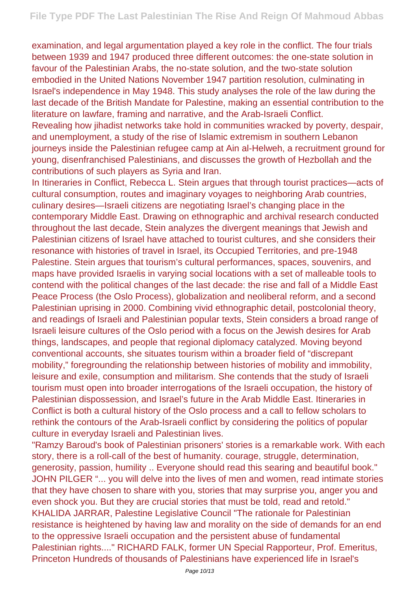examination, and legal argumentation played a key role in the conflict. The four trials between 1939 and 1947 produced three different outcomes: the one-state solution in favour of the Palestinian Arabs, the no-state solution, and the two-state solution embodied in the United Nations November 1947 partition resolution, culminating in Israel's independence in May 1948. This study analyses the role of the law during the last decade of the British Mandate for Palestine, making an essential contribution to the literature on lawfare, framing and narrative, and the Arab-Israeli Conflict. Revealing how jihadist networks take hold in communities wracked by poverty, despair, and unemployment, a study of the rise of Islamic extremism in southern Lebanon journeys inside the Palestinian refugee camp at Ain al-Helweh, a recruitment ground for young, disenfranchised Palestinians, and discusses the growth of Hezbollah and the

contributions of such players as Syria and Iran.

In Itineraries in Conflict, Rebecca L. Stein argues that through tourist practices—acts of cultural consumption, routes and imaginary voyages to neighboring Arab countries, culinary desires—Israeli citizens are negotiating Israel's changing place in the contemporary Middle East. Drawing on ethnographic and archival research conducted throughout the last decade, Stein analyzes the divergent meanings that Jewish and Palestinian citizens of Israel have attached to tourist cultures, and she considers their resonance with histories of travel in Israel, its Occupied Territories, and pre-1948 Palestine. Stein argues that tourism's cultural performances, spaces, souvenirs, and maps have provided Israelis in varying social locations with a set of malleable tools to contend with the political changes of the last decade: the rise and fall of a Middle East Peace Process (the Oslo Process), globalization and neoliberal reform, and a second Palestinian uprising in 2000. Combining vivid ethnographic detail, postcolonial theory, and readings of Israeli and Palestinian popular texts, Stein considers a broad range of Israeli leisure cultures of the Oslo period with a focus on the Jewish desires for Arab things, landscapes, and people that regional diplomacy catalyzed. Moving beyond conventional accounts, she situates tourism within a broader field of "discrepant mobility," foregrounding the relationship between histories of mobility and immobility, leisure and exile, consumption and militarism. She contends that the study of Israeli tourism must open into broader interrogations of the Israeli occupation, the history of Palestinian dispossession, and Israel's future in the Arab Middle East. Itineraries in Conflict is both a cultural history of the Oslo process and a call to fellow scholars to rethink the contours of the Arab-Israeli conflict by considering the politics of popular culture in everyday Israeli and Palestinian lives.

"Ramzy Baroud's book of Palestinian prisoners' stories is a remarkable work. With each story, there is a roll-call of the best of humanity. courage, struggle, determination, generosity, passion, humility .. Everyone should read this searing and beautiful book." JOHN PILGER "... you will delve into the lives of men and women, read intimate stories that they have chosen to share with you, stories that may surprise you, anger you and even shock you. But they are crucial stories that must be told, read and retold." KHALIDA JARRAR, Palestine Legislative Council "The rationale for Palestinian resistance is heightened by having law and morality on the side of demands for an end to the oppressive Israeli occupation and the persistent abuse of fundamental Palestinian rights...." RICHARD FALK, former UN Special Rapporteur, Prof. Emeritus, Princeton Hundreds of thousands of Palestinians have experienced life in Israel's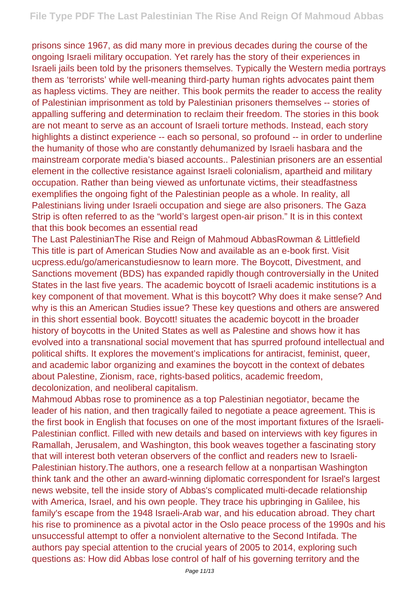prisons since 1967, as did many more in previous decades during the course of the ongoing Israeli military occupation. Yet rarely has the story of their experiences in Israeli jails been told by the prisoners themselves. Typically the Western media portrays them as 'terrorists' while well-meaning third-party human rights advocates paint them as hapless victims. They are neither. This book permits the reader to access the reality of Palestinian imprisonment as told by Palestinian prisoners themselves -- stories of appalling suffering and determination to reclaim their freedom. The stories in this book are not meant to serve as an account of Israeli torture methods. Instead, each story highlights a distinct experience -- each so personal, so profound -- in order to underline the humanity of those who are constantly dehumanized by Israeli hasbara and the mainstream corporate media's biased accounts.. Palestinian prisoners are an essential element in the collective resistance against Israeli colonialism, apartheid and military occupation. Rather than being viewed as unfortunate victims, their steadfastness exemplifies the ongoing fight of the Palestinian people as a whole. In reality, all Palestinians living under Israeli occupation and siege are also prisoners. The Gaza Strip is often referred to as the "world's largest open-air prison." It is in this context that this book becomes an essential read

The Last PalestinianThe Rise and Reign of Mahmoud AbbasRowman & Littlefield This title is part of American Studies Now and available as an e-book first. Visit ucpress.edu/go/americanstudiesnow to learn more. The Boycott, Divestment, and Sanctions movement (BDS) has expanded rapidly though controversially in the United States in the last five years. The academic boycott of Israeli academic institutions is a key component of that movement. What is this boycott? Why does it make sense? And why is this an American Studies issue? These key questions and others are answered in this short essential book. Boycott! situates the academic boycott in the broader history of boycotts in the United States as well as Palestine and shows how it has evolved into a transnational social movement that has spurred profound intellectual and political shifts. It explores the movement's implications for antiracist, feminist, queer, and academic labor organizing and examines the boycott in the context of debates about Palestine, Zionism, race, rights-based politics, academic freedom, decolonization, and neoliberal capitalism.

Mahmoud Abbas rose to prominence as a top Palestinian negotiator, became the leader of his nation, and then tragically failed to negotiate a peace agreement. This is the first book in English that focuses on one of the most important fixtures of the Israeli-Palestinian conflict. Filled with new details and based on interviews with key figures in Ramallah, Jerusalem, and Washington, this book weaves together a fascinating story that will interest both veteran observers of the conflict and readers new to Israeli-Palestinian history.The authors, one a research fellow at a nonpartisan Washington think tank and the other an award-winning diplomatic correspondent for Israel's largest news website, tell the inside story of Abbas's complicated multi-decade relationship with America, Israel, and his own people. They trace his upbringing in Galilee, his family's escape from the 1948 Israeli-Arab war, and his education abroad. They chart his rise to prominence as a pivotal actor in the Oslo peace process of the 1990s and his unsuccessful attempt to offer a nonviolent alternative to the Second Intifada. The authors pay special attention to the crucial years of 2005 to 2014, exploring such questions as: How did Abbas lose control of half of his governing territory and the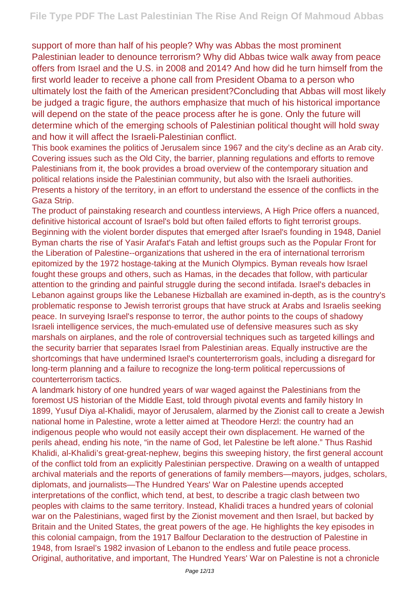support of more than half of his people? Why was Abbas the most prominent Palestinian leader to denounce terrorism? Why did Abbas twice walk away from peace offers from Israel and the U.S. in 2008 and 2014? And how did he turn himself from the first world leader to receive a phone call from President Obama to a person who ultimately lost the faith of the American president?Concluding that Abbas will most likely be judged a tragic figure, the authors emphasize that much of his historical importance will depend on the state of the peace process after he is gone. Only the future will determine which of the emerging schools of Palestinian political thought will hold sway and how it will affect the Israeli-Palestinian conflict.

This book examines the politics of Jerusalem since 1967 and the city's decline as an Arab city. Covering issues such as the Old City, the barrier, planning regulations and efforts to remove Palestinians from it, the book provides a broad overview of the contemporary situation and political relations inside the Palestinian community, but also with the Israeli authorities. Presents a history of the territory, in an effort to understand the essence of the conflicts in the Gaza Strip.

The product of painstaking research and countless interviews, A High Price offers a nuanced, definitive historical account of Israel's bold but often failed efforts to fight terrorist groups. Beginning with the violent border disputes that emerged after Israel's founding in 1948, Daniel Byman charts the rise of Yasir Arafat's Fatah and leftist groups such as the Popular Front for the Liberation of Palestine--organizations that ushered in the era of international terrorism epitomized by the 1972 hostage-taking at the Munich Olympics. Byman reveals how Israel fought these groups and others, such as Hamas, in the decades that follow, with particular attention to the grinding and painful struggle during the second intifada. Israel's debacles in Lebanon against groups like the Lebanese Hizballah are examined in-depth, as is the country's problematic response to Jewish terrorist groups that have struck at Arabs and Israelis seeking peace. In surveying Israel's response to terror, the author points to the coups of shadowy Israeli intelligence services, the much-emulated use of defensive measures such as sky marshals on airplanes, and the role of controversial techniques such as targeted killings and the security barrier that separates Israel from Palestinian areas. Equally instructive are the shortcomings that have undermined Israel's counterterrorism goals, including a disregard for long-term planning and a failure to recognize the long-term political repercussions of counterterrorism tactics.

A landmark history of one hundred years of war waged against the Palestinians from the foremost US historian of the Middle East, told through pivotal events and family history In 1899, Yusuf Diya al-Khalidi, mayor of Jerusalem, alarmed by the Zionist call to create a Jewish national home in Palestine, wrote a letter aimed at Theodore Herzl: the country had an indigenous people who would not easily accept their own displacement. He warned of the perils ahead, ending his note, "in the name of God, let Palestine be left alone." Thus Rashid Khalidi, al-Khalidi's great-great-nephew, begins this sweeping history, the first general account of the conflict told from an explicitly Palestinian perspective. Drawing on a wealth of untapped archival materials and the reports of generations of family members—mayors, judges, scholars, diplomats, and journalists—The Hundred Years' War on Palestine upends accepted interpretations of the conflict, which tend, at best, to describe a tragic clash between two peoples with claims to the same territory. Instead, Khalidi traces a hundred years of colonial war on the Palestinians, waged first by the Zionist movement and then Israel, but backed by Britain and the United States, the great powers of the age. He highlights the key episodes in this colonial campaign, from the 1917 Balfour Declaration to the destruction of Palestine in 1948, from Israel's 1982 invasion of Lebanon to the endless and futile peace process. Original, authoritative, and important, The Hundred Years' War on Palestine is not a chronicle